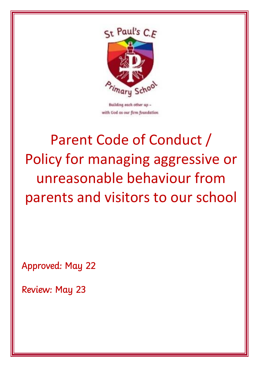

with God as our firm foundation

# Parent Code of Conduct / Policy for managing aggressive or unreasonable behaviour from parents and visitors to our school

Approved: May 22

Review: May 23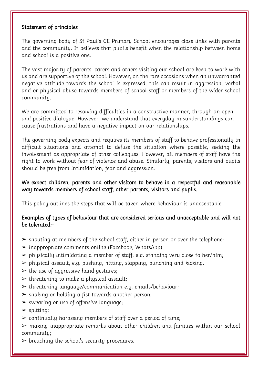#### Statement of principles

The governing body of St Paul's CE Primary School encourages close links with parents and the community. It believes that pupils benefit when the relationship between home and school is a positive one.

The vast majority of parents, carers and others visiting our school are keen to work with us and are supportive of the school. However, on the rare occasions when an unwarranted negative attitude towards the school is expressed, this can result in aggression, verbal and or physical abuse towards members of school staff or members of the wider school community.

We are committed to resolving difficulties in a constructive manner, through an open and positive dialogue. However, we understand that everyday misunderstandings can cause frustrations and have a negative impact on our relationships.

The governing body expects and requires its members of staff to behave professionally in difficult situations and attempt to defuse the situation where possible, seeking the involvement as appropriate of other colleagues. However, all members of staff have the right to work without fear of violence and abuse. Similarly, parents, visitors and pupils should be free from intimidation, fear and aggression.

#### We expect children, parents and other visitors to behave in a respectful and reasonable way towards members of school staff, other parents, visitors and pupils.

This policy outlines the steps that will be taken where behaviour is unacceptable.

# Examples of types of behaviour that are considered serious and unacceptable and will not be tolerated:-

- $\triangleright$  shouting at members of the school staff, either in person or over the telephone;
- $\triangleright$  inappropriate comments online (Facebook, WhatsApp)
- ➢ physically intimidating a member of staff, e.g. standing very close to her/him;
- $\triangleright$  physical assault, e.g. pushing, hitting, slapping, punching and kicking.
- $\triangleright$  the use of aggressive hand gestures;
- $\triangleright$  threatening to make a physical assault;
- ➢ threatening language/communication e.g. emails/behaviour;
- $\triangleright$  shaking or holding a fist towards another person;
- ➢ swearing or use of offensive language;
- $\blacktriangleright$  spitting;
- $\triangleright$  continually harassing members of staff over a period of time;
- ➢ making inappropriate remarks about other children and families within our school community;
- $\triangleright$  breaching the school's security procedures.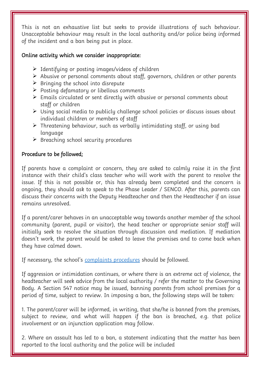This is not an exhaustive list but seeks to provide illustrations of such behaviour. Unacceptable behaviour may result in the local authority and/or police being informed of the incident and a ban being put in place.

### Online activity which we consider inappropriate:

- ➢ Identifying or posting images/videos of children
- ➢ Abusive or personal comments about staff, governors, children or other parents
- $\triangleright$  Bringing the school into disrepute
- ➢ Posting defamatory or libellous comments
- ➢ Emails circulated or sent directly with abusive or personal comments about staff or children
- ➢ Using social media to publicly challenge school policies or discuss issues about individual children or members of staff
- ➢ Threatening behaviour, such as verbally intimidating staff, or using bad language
- $\triangleright$  Breaching school security procedures

#### Procedure to be followed;

If parents have a complaint or concern, they are asked to calmly raise it in the first instance with their child's class teacher who will work with the parent to resolve the issue. If this is not possible or, this has already been completed and the concern is ongoing, they should ask to speak to the Phase Leader / SENCO. After this, parents can discuss their concerns with the Deputy Headteacher and then the Headteacher if an issue remains unresolved.

If a parent/carer behaves in an unacceptable way towards another member of the school community (parent, pupil or visitor), the head teacher or appropriate senior staff will initially seek to resolve the situation through discussion and mediation. If mediation doesn't work, the parent would be asked to leave the premises and to come back when they have calmed down.

If necessary, the school's [complaints procedures](https://www.stpaulscofeprimaryschool.co.uk/_files/ugd/81ffab_9af13cf3fa25493484c35538b739b97e.pdf) should be followed.

If aggression or intimidation continues, or where there is an extreme act of violence, the headteacher will seek advice from the local authority / refer the matter to the Governing Body. A Section 547 notice may be issued, banning parents from school premises for a period of time, subject to review. In imposing a ban, the following steps will be taken:

1. The parent/carer will be informed, in writing, that she/he is banned from the premises, subject to review, and what will happen if the ban is breached, e.g. that police involvement or an injunction application may follow.

2. Where an assault has led to a ban, a statement indicating that the matter has been reported to the local authority and the police will be included